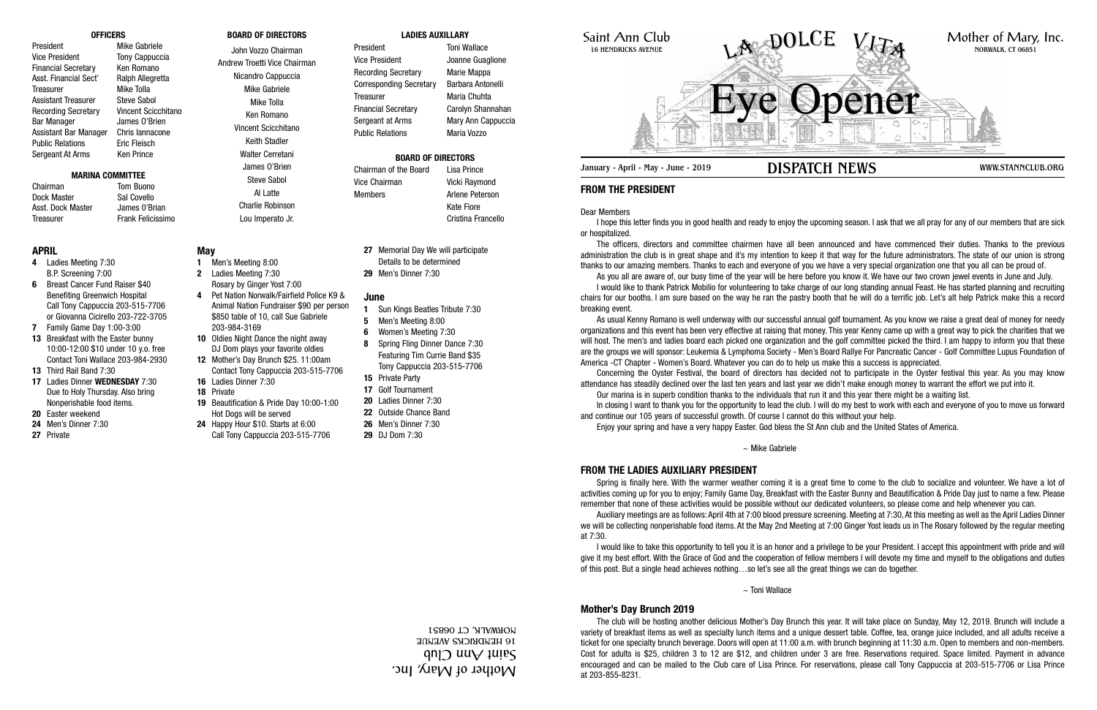Saint Ann Club 16 HENDRICKS AVENUE

January - April - May - June - 2019 **DISPATCH NEWS** WWW.STANNCLUB.ORG

# **FROM THE PRESIDENT**

Dear Members

I hope this letter finds you in good health and ready to enjoy the upcoming season. I ask that we all pray for any of our members that are sick or hospitalized.

The officers, directors and committee chairmen have all been announced and have commenced their duties. Thanks to the previous administration the club is in great shape and it's my intention to keep it that way for the future administrators. The state of our union is strong thanks to our amazing members. Thanks to each and everyone of you we have a very special organization one that you all can be proud of.

As you all are aware of, our busy time of the year will be here before you know it. We have our two crown jewel events in June and July. I would like to thank Patrick Mobilio for volunteering to take charge of our long standing annual Feast. He has started planning and recruiting chairs for our booths. I am sure based on the way he ran the pastry booth that he will do a terrific job. Let's alt help Patrick make this a record breaking event.

As usual Kenny Romano is well underway with our successful annual golf tournament. As you know we raise a great deal of money for needy organizations and this event has been very effective at raising that money. This year Kenny came up with a great way to pick the charities that we will host. The men's and ladies board each picked one organization and the golf committee picked the third. I am happy to inform you that these are the groups we will sponsor: Leukemia & Lymphoma Society - Men's Board Rallye For Pancreatic Cancer - Golf Committee Lupus Foundation of America -CT Chapter - Women's Board. Whatever you can do to help us make this a success is appreciated.

Concerning the Oyster Festival, the board of directors has decided not to participate in the Oyster festival this year. As you may know attendance has steadily declined over the last ten years and last year we didn't make enough money to warrant the effort we put into it.

Our marina is in superb condition thanks to the individuals that run it and this year there might be a waiting list. In closing I want to thank you for the opportunity to lead the club. I will do my best to work with each and everyone of you to move us forward and continue our 105 years of successful growth. Of course I cannot do this without your help.

Chairman Tom Buono Dock Master Sal Covello Asst. Dock Master James 0'Brian Treasurer Frank Felicissimo

Enjoy your spring and have a very happy Easter. God bless the St Ann club and the United States of America.

~ Mike Gabriele

# **FROM THE LADIES AUXILIARY PRESIDENT**

President Toni Wallace Vice President **Joanne Guaglione** Recording Secretary Marie Mappa Corresponding Secretary Barbara Antonelli Treasurer Maria Chuhta Financial Secretary Carolyn Shannahan Sergeant at Arms Mary Ann Cappuccia Public Relations Maria Vozzo

> Spring is finally here. With the warmer weather coming it is a great time to come to the club to socialize and volunteer. We have a lot of activities coming up for you to enjoy; Family Game Day, Breakfast with the Easter Bunny and Beautification & Pride Day just to name a few. Please remember that none of these activities would be possible without our dedicated volunteers, so please come and help whenever you can.

> Auxiliary meetings are as follows: April 4th at 7:00 blood pressure screening. Meeting at 7:30, At this meeting as well as the April Ladies Dinner we will be collecting nonperishable food items. At the May 2nd Meeting at 7:00 Ginger Yost leads us in The Rosary followed by the regular meeting at 7:30.

> I would like to take this opportunity to tell you it is an honor and a privilege to be your President. I accept this appointment with pride and will give it my best effort. With the Grace of God and the cooperation of fellow members I will devote my time and myself to the obligations and duties of this post. But a single head achieves nothing…so let's see all the great things we can do together.



~ Toni Wallace

# **Mother's Day Brunch 2019**

The club will be hosting another delicious Mother's Day Brunch this year. It will take place on Sunday, May 12, 2019. Brunch will include a variety of breakfast items as well as specialty lunch items and a unique dessert table. Coffee, tea, orange juice included, and all adults receive a ticket for one specialty brunch beverage. Doors will open at 11:00 a.m. with brunch beginning at 11:30 a.m. Open to members and non-members. Cost for adults is \$25, children 3 to 12 are \$12, and children under 3 are free. Reservations required. Space limited. Payment in advance encouraged and can be mailed to the Club care of Lisa Prince. For reservations, please call Tony Cappuccia at 203-515-7706 or Lisa Prince at 203-855-8231.

### **OFFICERS**

President Mike Gabriele Vice President Tony Cappuccia Financial Secretary Ken Romano Asst. Financial Sect' Ralph Allegretta Treasurer Mike Tolla Assistant Treasurer Steve Sabol Recording Secretary Vincent Scicchitano Bar Manager James O'Brien Assistant Bar Manager Chris Iannacone Public Relations **Eric Fleisch** Sergeant At Arms Ken Prince

### **MARINA COMMITTEE**

# **BOARD OF DIRECTORS**

John Vozzo Chairman Andrew Troetti Vice Chairman Nicandro Cappuccia Mike Gabriele Mike Tolla Ken Romano Vincent Scicchitano Keith Stadler Walter Cerretani James O'Brien Steve Sabol

Al Latte Charlie Robinson Lou Imperato Jr.

### **LADIES AUXILLARY**

# **BOARD OF DIRECTORS**

# Chairman of the Board Lisa Prince Vice Chairman Vicki Raymond

Kate Fiore



# **APRIL**

- **4** Ladies Meeting 7:30 B.P. Screening 7:00
- **6** Breast Cancer Fund Raiser \$40 Benefiting Greenwich Hospital Call Tony Cappuccia 203-515-7706 or Giovanna Cicirello 203-722-3705
- **7** Family Game Day 1:00-3:00
- **13** Breakfast with the Easter bunny 10:00-12:00 \$10 under 10 y.o. free Contact Toni Wallace 203-984-2930
- **13** Third Rail Band 7:30
- **17** Ladies Dinner **WEDNESDAY** 7:30 Due to Holy Thursday. Also bring Nonperishable food items.
- **20** Easter weekend **24** Men's Dinner 7:30
- 
- **27** Private

# **May**

- **1** Men's Meeting 8:00 **2** Ladies Meeting 7:30 Rosary by Ginger Yost 7:00
- **4** Pet Nation Norwalk/Fairfield Police K9 & Animal Nation Fundraiser \$90 per person \$850 table of 10, call Sue Gabriele 203-984-3169
- **10** Oldies Night Dance the night away DJ Dom plays your favorite oldies
- **12** Mother's Day Brunch \$25. 11:00am Contact Tony Cappuccia 203-515-7706
- **16** Ladies Dinner 7:30
- **18** Private
- **19** Beautification & Pride Day 10:00-1:00 Hot Dogs will be served
- **24** Happy Hour \$10. Starts at 6:00 Call Tony Cappuccia 203-515-7706
- **27** Memorial Day We will participate Details to be determined
- **29** Men's Dinner 7:30

# **June**

- **1** Sun Kings Beatles Tribute 7:30
- **5** Men's Meeting 8:00
- **6** Women's Meeting 7:30
- **8** Spring Fling Dinner Dance 7:30 Featuring Tim Currie Band \$35 Tony Cappuccia 203-515-7706
- **15** Private Party
- **17** Golf Tournament
- **20** Ladies Dinner 7:30
- **22** Outside Chance Band
- **26** Men's Dinner 7:30
- **29** DJ Dom 7:30

Mother of Mary, Inc. ann ann an 16 HENDRICKS AVENUE NORWALK, CT 06851

Members **Arlene** Peterson